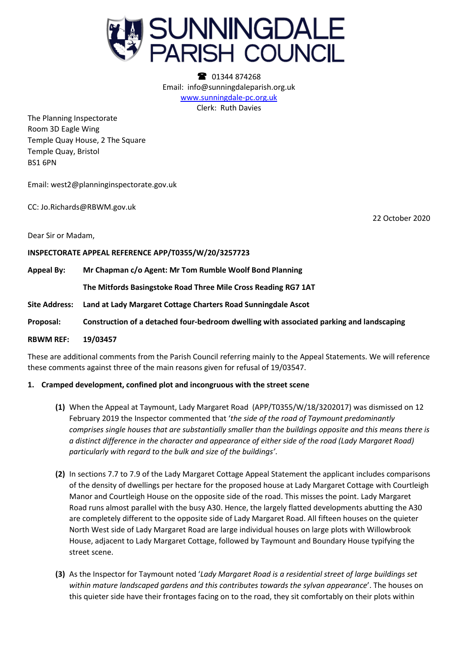

1344 874268 Email: info@sunningdaleparish.org.uk [www.sunningdale-pc.org.uk](http://www.sunningdale-pc.org.uk/) Clerk: Ruth Davies

The Planning Inspectorate Room 3D Eagle Wing Temple Quay House, 2 The Square Temple Quay, Bristol BS1 6PN

Email: west2@planninginspectorate.gov.uk

CC: Jo.Richards@RBWM.gov.uk

22 October 2020

Dear Sir or Madam,

## **INSPECTORATE APPEAL REFERENCE APP/T0355/W/20/3257723**

**Appeal By: Mr Chapman c/o Agent: Mr Tom Rumble Woolf Bond Planning** 

**The Mitfords Basingstoke Road Three Mile Cross Reading RG7 1AT**

**Site Address: Land at Lady Margaret Cottage Charters Road Sunningdale Ascot** 

**Proposal: Construction of a detached four-bedroom dwelling with associated parking and landscaping**

**RBWM REF: 19/03457**

These are additional comments from the Parish Council referring mainly to the Appeal Statements. We will reference these comments against three of the main reasons given for refusal of 19/03547.

### **1. Cramped development, confined plot and incongruous with the street scene**

- **(1)** When the Appeal at Taymount, Lady Margaret Road (APP/T0355/W/18/3202017) was dismissed on 12 February 2019 the Inspector commented that '*the side of the road of Taymount predominantly comprises single houses that are substantially smaller than the buildings opposite and this means there is a distinct difference in the character and appearance of either side of the road (Lady Margaret Road) particularly with regard to the bulk and size of the buildings'*.
- **(2)** In sections 7.7 to 7.9 of the Lady Margaret Cottage Appeal Statement the applicant includes comparisons of the density of dwellings per hectare for the proposed house at Lady Margaret Cottage with Courtleigh Manor and Courtleigh House on the opposite side of the road. This misses the point. Lady Margaret Road runs almost parallel with the busy A30. Hence, the largely flatted developments abutting the A30 are completely different to the opposite side of Lady Margaret Road. All fifteen houses on the quieter North West side of Lady Margaret Road are large individual houses on large plots with Willowbrook House, adjacent to Lady Margaret Cottage, followed by Taymount and Boundary House typifying the street scene.
- **(3)** As the Inspector for Taymount noted '*Lady Margaret Road is a residential street of large buildings set within mature landscaped gardens and this contributes towards the sylvan appearance*'. The houses on this quieter side have their frontages facing on to the road, they sit comfortably on their plots within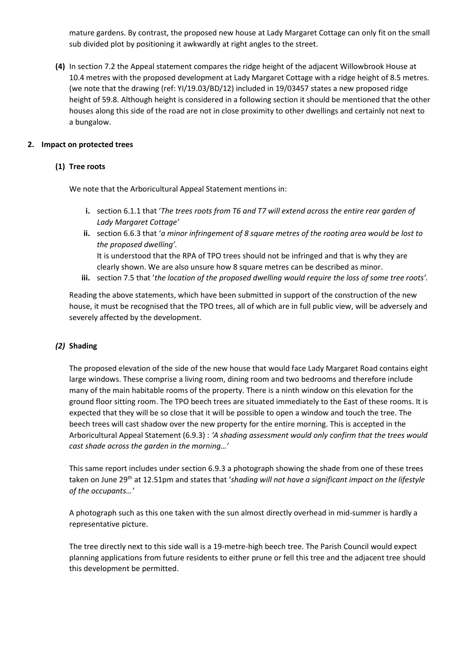mature gardens. By contrast, the proposed new house at Lady Margaret Cottage can only fit on the small sub divided plot by positioning it awkwardly at right angles to the street.

**(4)** In section 7.2 the Appeal statement compares the ridge height of the adjacent Willowbrook House at 10.4 metres with the proposed development at Lady Margaret Cottage with a ridge height of 8.5 metres. (we note that the drawing (ref: YI/19.03/BD/12) included in 19/03457 states a new proposed ridge height of 59.8. Although height is considered in a following section it should be mentioned that the other houses along this side of the road are not in close proximity to other dwellings and certainly not next to a bungalow.

# **2. Impact on protected trees**

# **(1) Tree roots**

We note that the Arboricultural Appeal Statement mentions in:

- **i.** section 6.1.1 that '*The trees roots from T6 and T7 will extend across the entire rear garden of Lady Margaret Cottage'*
- **ii.** section 6.6.3 that '*a minor infringement of 8 square metres of the rooting area would be lost to the proposed dwelling'.*  It is understood that the RPA of TPO trees should not be infringed and that is why they are clearly shown. We are also unsure how 8 square metres can be described as minor.
- **iii.** section 7.5 that '*the location of the proposed dwelling would require the loss of some tree roots'.*

Reading the above statements, which have been submitted in support of the construction of the new house, it must be recognised that the TPO trees, all of which are in full public view, will be adversely and severely affected by the development.

## *(2)* **Shading**

The proposed elevation of the side of the new house that would face Lady Margaret Road contains eight large windows. These comprise a living room, dining room and two bedrooms and therefore include many of the main habitable rooms of the property. There is a ninth window on this elevation for the ground floor sitting room. The TPO beech trees are situated immediately to the East of these rooms. It is expected that they will be so close that it will be possible to open a window and touch the tree. The beech trees will cast shadow over the new property for the entire morning. This is accepted in the Arboricultural Appeal Statement (6.9.3) : *'A shading assessment would only confirm that the trees would cast shade across the garden in the morning…'*

This same report includes under section 6.9.3 a photograph showing the shade from one of these trees taken on June 29th at 12.51pm and states that '*shading will not have a significant impact on the lifestyle of the occupants…'*

A photograph such as this one taken with the sun almost directly overhead in mid-summer is hardly a representative picture.

The tree directly next to this side wall is a 19-metre-high beech tree. The Parish Council would expect planning applications from future residents to either prune or fell this tree and the adjacent tree should this development be permitted.